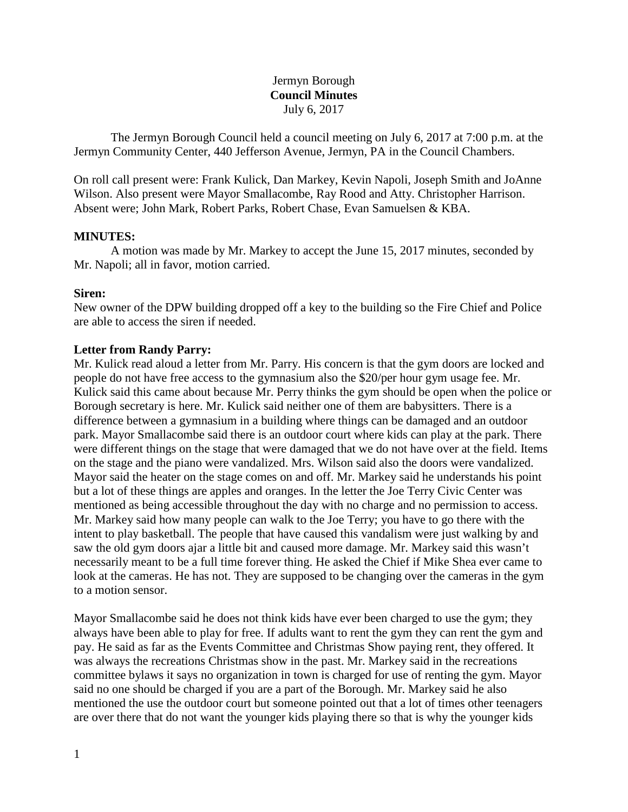# Jermyn Borough **Council Minutes** July 6, 2017

The Jermyn Borough Council held a council meeting on July 6, 2017 at 7:00 p.m. at the Jermyn Community Center, 440 Jefferson Avenue, Jermyn, PA in the Council Chambers.

On roll call present were: Frank Kulick, Dan Markey, Kevin Napoli, Joseph Smith and JoAnne Wilson. Also present were Mayor Smallacombe, Ray Rood and Atty. Christopher Harrison. Absent were; John Mark, Robert Parks, Robert Chase, Evan Samuelsen & KBA.

## **MINUTES:**

A motion was made by Mr. Markey to accept the June 15, 2017 minutes, seconded by Mr. Napoli; all in favor, motion carried.

## **Siren:**

New owner of the DPW building dropped off a key to the building so the Fire Chief and Police are able to access the siren if needed.

## **Letter from Randy Parry:**

Mr. Kulick read aloud a letter from Mr. Parry. His concern is that the gym doors are locked and people do not have free access to the gymnasium also the \$20/per hour gym usage fee. Mr. Kulick said this came about because Mr. Perry thinks the gym should be open when the police or Borough secretary is here. Mr. Kulick said neither one of them are babysitters. There is a difference between a gymnasium in a building where things can be damaged and an outdoor park. Mayor Smallacombe said there is an outdoor court where kids can play at the park. There were different things on the stage that were damaged that we do not have over at the field. Items on the stage and the piano were vandalized. Mrs. Wilson said also the doors were vandalized. Mayor said the heater on the stage comes on and off. Mr. Markey said he understands his point but a lot of these things are apples and oranges. In the letter the Joe Terry Civic Center was mentioned as being accessible throughout the day with no charge and no permission to access. Mr. Markey said how many people can walk to the Joe Terry; you have to go there with the intent to play basketball. The people that have caused this vandalism were just walking by and saw the old gym doors ajar a little bit and caused more damage. Mr. Markey said this wasn't necessarily meant to be a full time forever thing. He asked the Chief if Mike Shea ever came to look at the cameras. He has not. They are supposed to be changing over the cameras in the gym to a motion sensor.

Mayor Smallacombe said he does not think kids have ever been charged to use the gym; they always have been able to play for free. If adults want to rent the gym they can rent the gym and pay. He said as far as the Events Committee and Christmas Show paying rent, they offered. It was always the recreations Christmas show in the past. Mr. Markey said in the recreations committee bylaws it says no organization in town is charged for use of renting the gym. Mayor said no one should be charged if you are a part of the Borough. Mr. Markey said he also mentioned the use the outdoor court but someone pointed out that a lot of times other teenagers are over there that do not want the younger kids playing there so that is why the younger kids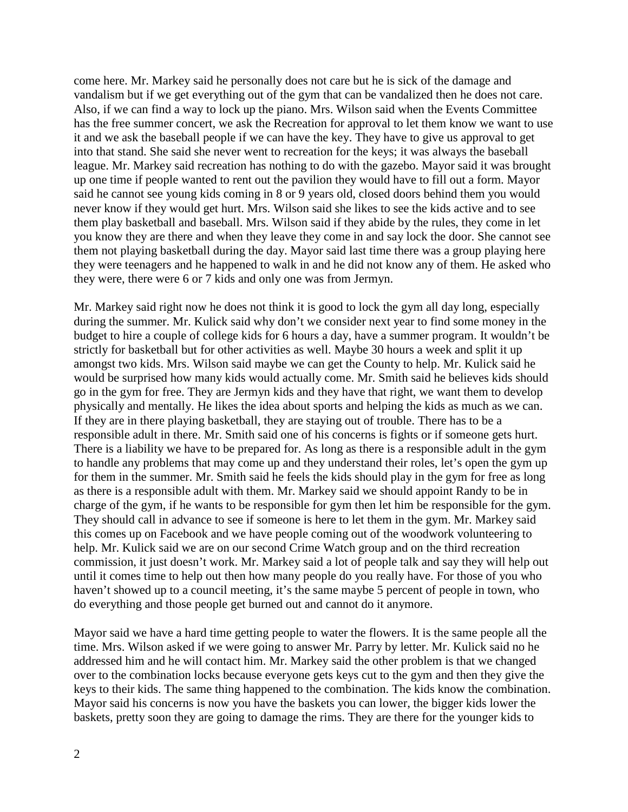come here. Mr. Markey said he personally does not care but he is sick of the damage and vandalism but if we get everything out of the gym that can be vandalized then he does not care. Also, if we can find a way to lock up the piano. Mrs. Wilson said when the Events Committee has the free summer concert, we ask the Recreation for approval to let them know we want to use it and we ask the baseball people if we can have the key. They have to give us approval to get into that stand. She said she never went to recreation for the keys; it was always the baseball league. Mr. Markey said recreation has nothing to do with the gazebo. Mayor said it was brought up one time if people wanted to rent out the pavilion they would have to fill out a form. Mayor said he cannot see young kids coming in 8 or 9 years old, closed doors behind them you would never know if they would get hurt. Mrs. Wilson said she likes to see the kids active and to see them play basketball and baseball. Mrs. Wilson said if they abide by the rules, they come in let you know they are there and when they leave they come in and say lock the door. She cannot see them not playing basketball during the day. Mayor said last time there was a group playing here they were teenagers and he happened to walk in and he did not know any of them. He asked who they were, there were 6 or 7 kids and only one was from Jermyn.

Mr. Markey said right now he does not think it is good to lock the gym all day long, especially during the summer. Mr. Kulick said why don't we consider next year to find some money in the budget to hire a couple of college kids for 6 hours a day, have a summer program. It wouldn't be strictly for basketball but for other activities as well. Maybe 30 hours a week and split it up amongst two kids. Mrs. Wilson said maybe we can get the County to help. Mr. Kulick said he would be surprised how many kids would actually come. Mr. Smith said he believes kids should go in the gym for free. They are Jermyn kids and they have that right, we want them to develop physically and mentally. He likes the idea about sports and helping the kids as much as we can. If they are in there playing basketball, they are staying out of trouble. There has to be a responsible adult in there. Mr. Smith said one of his concerns is fights or if someone gets hurt. There is a liability we have to be prepared for. As long as there is a responsible adult in the gym to handle any problems that may come up and they understand their roles, let's open the gym up for them in the summer. Mr. Smith said he feels the kids should play in the gym for free as long as there is a responsible adult with them. Mr. Markey said we should appoint Randy to be in charge of the gym, if he wants to be responsible for gym then let him be responsible for the gym. They should call in advance to see if someone is here to let them in the gym. Mr. Markey said this comes up on Facebook and we have people coming out of the woodwork volunteering to help. Mr. Kulick said we are on our second Crime Watch group and on the third recreation commission, it just doesn't work. Mr. Markey said a lot of people talk and say they will help out until it comes time to help out then how many people do you really have. For those of you who haven't showed up to a council meeting, it's the same maybe 5 percent of people in town, who do everything and those people get burned out and cannot do it anymore.

Mayor said we have a hard time getting people to water the flowers. It is the same people all the time. Mrs. Wilson asked if we were going to answer Mr. Parry by letter. Mr. Kulick said no he addressed him and he will contact him. Mr. Markey said the other problem is that we changed over to the combination locks because everyone gets keys cut to the gym and then they give the keys to their kids. The same thing happened to the combination. The kids know the combination. Mayor said his concerns is now you have the baskets you can lower, the bigger kids lower the baskets, pretty soon they are going to damage the rims. They are there for the younger kids to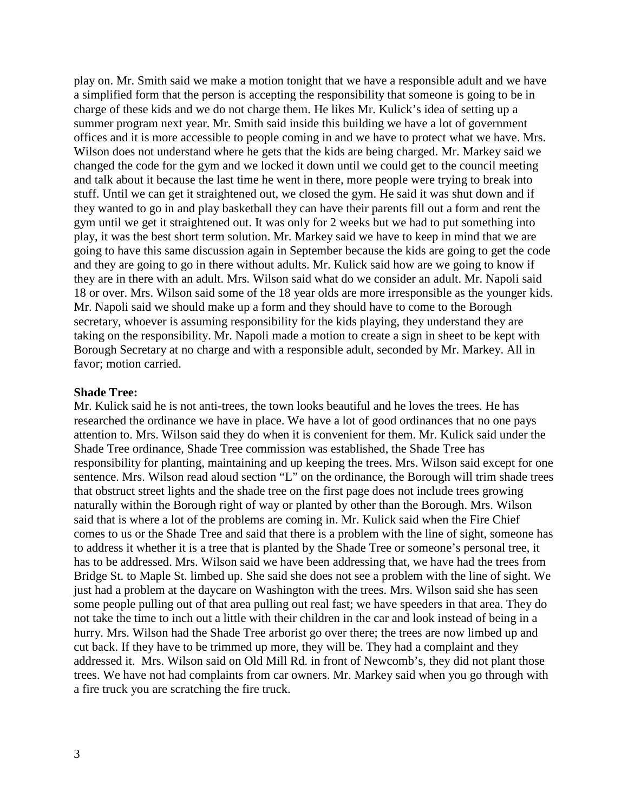play on. Mr. Smith said we make a motion tonight that we have a responsible adult and we have a simplified form that the person is accepting the responsibility that someone is going to be in charge of these kids and we do not charge them. He likes Mr. Kulick's idea of setting up a summer program next year. Mr. Smith said inside this building we have a lot of government offices and it is more accessible to people coming in and we have to protect what we have. Mrs. Wilson does not understand where he gets that the kids are being charged. Mr. Markey said we changed the code for the gym and we locked it down until we could get to the council meeting and talk about it because the last time he went in there, more people were trying to break into stuff. Until we can get it straightened out, we closed the gym. He said it was shut down and if they wanted to go in and play basketball they can have their parents fill out a form and rent the gym until we get it straightened out. It was only for 2 weeks but we had to put something into play, it was the best short term solution. Mr. Markey said we have to keep in mind that we are going to have this same discussion again in September because the kids are going to get the code and they are going to go in there without adults. Mr. Kulick said how are we going to know if they are in there with an adult. Mrs. Wilson said what do we consider an adult. Mr. Napoli said 18 or over. Mrs. Wilson said some of the 18 year olds are more irresponsible as the younger kids. Mr. Napoli said we should make up a form and they should have to come to the Borough secretary, whoever is assuming responsibility for the kids playing, they understand they are taking on the responsibility. Mr. Napoli made a motion to create a sign in sheet to be kept with Borough Secretary at no charge and with a responsible adult, seconded by Mr. Markey. All in favor; motion carried.

#### **Shade Tree:**

Mr. Kulick said he is not anti-trees, the town looks beautiful and he loves the trees. He has researched the ordinance we have in place. We have a lot of good ordinances that no one pays attention to. Mrs. Wilson said they do when it is convenient for them. Mr. Kulick said under the Shade Tree ordinance, Shade Tree commission was established, the Shade Tree has responsibility for planting, maintaining and up keeping the trees. Mrs. Wilson said except for one sentence. Mrs. Wilson read aloud section "L" on the ordinance, the Borough will trim shade trees that obstruct street lights and the shade tree on the first page does not include trees growing naturally within the Borough right of way or planted by other than the Borough. Mrs. Wilson said that is where a lot of the problems are coming in. Mr. Kulick said when the Fire Chief comes to us or the Shade Tree and said that there is a problem with the line of sight, someone has to address it whether it is a tree that is planted by the Shade Tree or someone's personal tree, it has to be addressed. Mrs. Wilson said we have been addressing that, we have had the trees from Bridge St. to Maple St. limbed up. She said she does not see a problem with the line of sight. We just had a problem at the daycare on Washington with the trees. Mrs. Wilson said she has seen some people pulling out of that area pulling out real fast; we have speeders in that area. They do not take the time to inch out a little with their children in the car and look instead of being in a hurry. Mrs. Wilson had the Shade Tree arborist go over there; the trees are now limbed up and cut back. If they have to be trimmed up more, they will be. They had a complaint and they addressed it. Mrs. Wilson said on Old Mill Rd. in front of Newcomb's, they did not plant those trees. We have not had complaints from car owners. Mr. Markey said when you go through with a fire truck you are scratching the fire truck.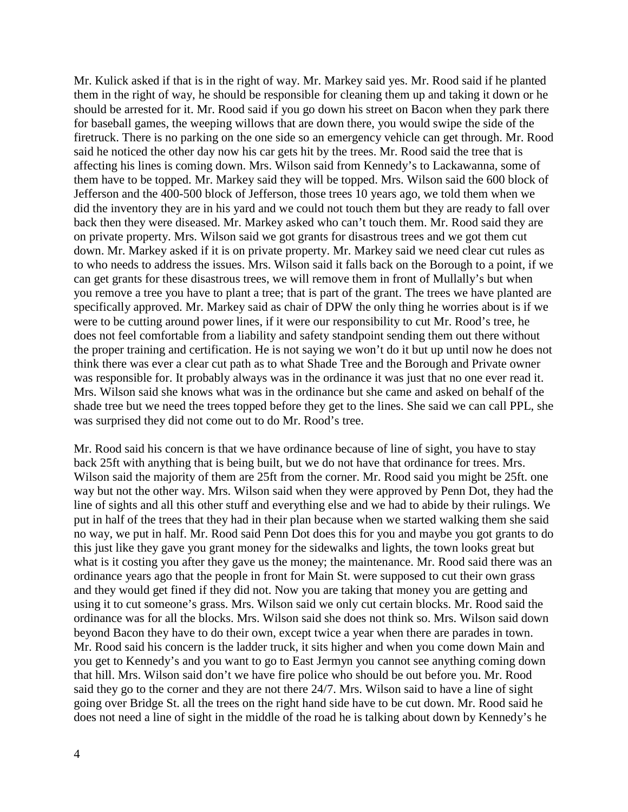Mr. Kulick asked if that is in the right of way. Mr. Markey said yes. Mr. Rood said if he planted them in the right of way, he should be responsible for cleaning them up and taking it down or he should be arrested for it. Mr. Rood said if you go down his street on Bacon when they park there for baseball games, the weeping willows that are down there, you would swipe the side of the firetruck. There is no parking on the one side so an emergency vehicle can get through. Mr. Rood said he noticed the other day now his car gets hit by the trees. Mr. Rood said the tree that is affecting his lines is coming down. Mrs. Wilson said from Kennedy's to Lackawanna, some of them have to be topped. Mr. Markey said they will be topped. Mrs. Wilson said the 600 block of Jefferson and the 400-500 block of Jefferson, those trees 10 years ago, we told them when we did the inventory they are in his yard and we could not touch them but they are ready to fall over back then they were diseased. Mr. Markey asked who can't touch them. Mr. Rood said they are on private property. Mrs. Wilson said we got grants for disastrous trees and we got them cut down. Mr. Markey asked if it is on private property. Mr. Markey said we need clear cut rules as to who needs to address the issues. Mrs. Wilson said it falls back on the Borough to a point, if we can get grants for these disastrous trees, we will remove them in front of Mullally's but when you remove a tree you have to plant a tree; that is part of the grant. The trees we have planted are specifically approved. Mr. Markey said as chair of DPW the only thing he worries about is if we were to be cutting around power lines, if it were our responsibility to cut Mr. Rood's tree, he does not feel comfortable from a liability and safety standpoint sending them out there without the proper training and certification. He is not saying we won't do it but up until now he does not think there was ever a clear cut path as to what Shade Tree and the Borough and Private owner was responsible for. It probably always was in the ordinance it was just that no one ever read it. Mrs. Wilson said she knows what was in the ordinance but she came and asked on behalf of the shade tree but we need the trees topped before they get to the lines. She said we can call PPL, she was surprised they did not come out to do Mr. Rood's tree.

Mr. Rood said his concern is that we have ordinance because of line of sight, you have to stay back 25ft with anything that is being built, but we do not have that ordinance for trees. Mrs. Wilson said the majority of them are 25ft from the corner. Mr. Rood said you might be 25ft. one way but not the other way. Mrs. Wilson said when they were approved by Penn Dot, they had the line of sights and all this other stuff and everything else and we had to abide by their rulings. We put in half of the trees that they had in their plan because when we started walking them she said no way, we put in half. Mr. Rood said Penn Dot does this for you and maybe you got grants to do this just like they gave you grant money for the sidewalks and lights, the town looks great but what is it costing you after they gave us the money; the maintenance. Mr. Rood said there was an ordinance years ago that the people in front for Main St. were supposed to cut their own grass and they would get fined if they did not. Now you are taking that money you are getting and using it to cut someone's grass. Mrs. Wilson said we only cut certain blocks. Mr. Rood said the ordinance was for all the blocks. Mrs. Wilson said she does not think so. Mrs. Wilson said down beyond Bacon they have to do their own, except twice a year when there are parades in town. Mr. Rood said his concern is the ladder truck, it sits higher and when you come down Main and you get to Kennedy's and you want to go to East Jermyn you cannot see anything coming down that hill. Mrs. Wilson said don't we have fire police who should be out before you. Mr. Rood said they go to the corner and they are not there 24/7. Mrs. Wilson said to have a line of sight going over Bridge St. all the trees on the right hand side have to be cut down. Mr. Rood said he does not need a line of sight in the middle of the road he is talking about down by Kennedy's he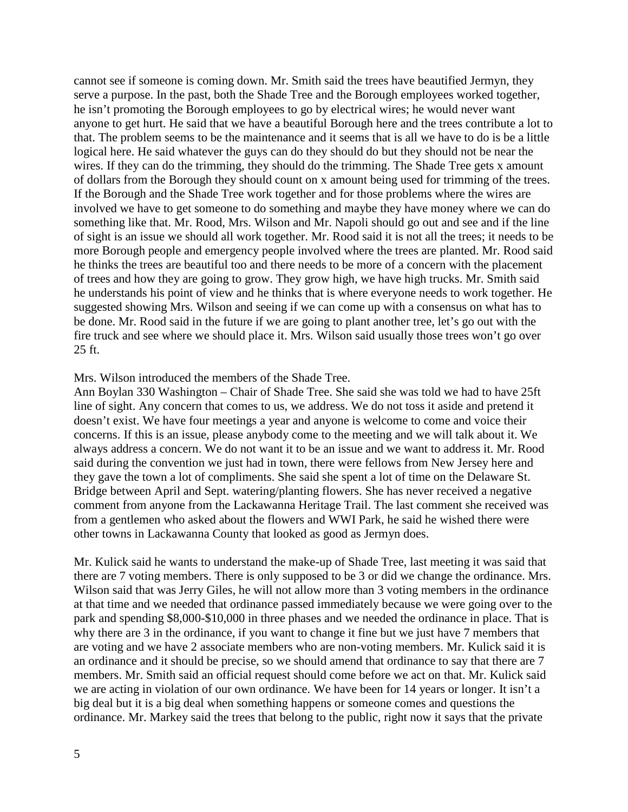cannot see if someone is coming down. Mr. Smith said the trees have beautified Jermyn, they serve a purpose. In the past, both the Shade Tree and the Borough employees worked together, he isn't promoting the Borough employees to go by electrical wires; he would never want anyone to get hurt. He said that we have a beautiful Borough here and the trees contribute a lot to that. The problem seems to be the maintenance and it seems that is all we have to do is be a little logical here. He said whatever the guys can do they should do but they should not be near the wires. If they can do the trimming, they should do the trimming. The Shade Tree gets x amount of dollars from the Borough they should count on x amount being used for trimming of the trees. If the Borough and the Shade Tree work together and for those problems where the wires are involved we have to get someone to do something and maybe they have money where we can do something like that. Mr. Rood, Mrs. Wilson and Mr. Napoli should go out and see and if the line of sight is an issue we should all work together. Mr. Rood said it is not all the trees; it needs to be more Borough people and emergency people involved where the trees are planted. Mr. Rood said he thinks the trees are beautiful too and there needs to be more of a concern with the placement of trees and how they are going to grow. They grow high, we have high trucks. Mr. Smith said he understands his point of view and he thinks that is where everyone needs to work together. He suggested showing Mrs. Wilson and seeing if we can come up with a consensus on what has to be done. Mr. Rood said in the future if we are going to plant another tree, let's go out with the fire truck and see where we should place it. Mrs. Wilson said usually those trees won't go over 25 ft.

### Mrs. Wilson introduced the members of the Shade Tree.

Ann Boylan 330 Washington – Chair of Shade Tree. She said she was told we had to have 25ft line of sight. Any concern that comes to us, we address. We do not toss it aside and pretend it doesn't exist. We have four meetings a year and anyone is welcome to come and voice their concerns. If this is an issue, please anybody come to the meeting and we will talk about it. We always address a concern. We do not want it to be an issue and we want to address it. Mr. Rood said during the convention we just had in town, there were fellows from New Jersey here and they gave the town a lot of compliments. She said she spent a lot of time on the Delaware St. Bridge between April and Sept. watering/planting flowers. She has never received a negative comment from anyone from the Lackawanna Heritage Trail. The last comment she received was from a gentlemen who asked about the flowers and WWI Park, he said he wished there were other towns in Lackawanna County that looked as good as Jermyn does.

Mr. Kulick said he wants to understand the make-up of Shade Tree, last meeting it was said that there are 7 voting members. There is only supposed to be 3 or did we change the ordinance. Mrs. Wilson said that was Jerry Giles, he will not allow more than 3 voting members in the ordinance at that time and we needed that ordinance passed immediately because we were going over to the park and spending \$8,000-\$10,000 in three phases and we needed the ordinance in place. That is why there are 3 in the ordinance, if you want to change it fine but we just have 7 members that are voting and we have 2 associate members who are non-voting members. Mr. Kulick said it is an ordinance and it should be precise, so we should amend that ordinance to say that there are 7 members. Mr. Smith said an official request should come before we act on that. Mr. Kulick said we are acting in violation of our own ordinance. We have been for 14 years or longer. It isn't a big deal but it is a big deal when something happens or someone comes and questions the ordinance. Mr. Markey said the trees that belong to the public, right now it says that the private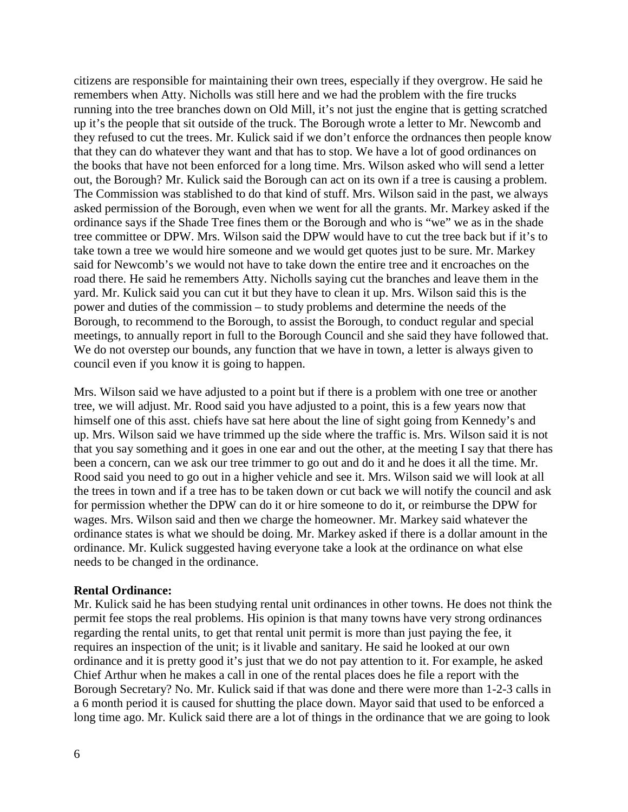citizens are responsible for maintaining their own trees, especially if they overgrow. He said he remembers when Atty. Nicholls was still here and we had the problem with the fire trucks running into the tree branches down on Old Mill, it's not just the engine that is getting scratched up it's the people that sit outside of the truck. The Borough wrote a letter to Mr. Newcomb and they refused to cut the trees. Mr. Kulick said if we don't enforce the ordnances then people know that they can do whatever they want and that has to stop. We have a lot of good ordinances on the books that have not been enforced for a long time. Mrs. Wilson asked who will send a letter out, the Borough? Mr. Kulick said the Borough can act on its own if a tree is causing a problem. The Commission was stablished to do that kind of stuff. Mrs. Wilson said in the past, we always asked permission of the Borough, even when we went for all the grants. Mr. Markey asked if the ordinance says if the Shade Tree fines them or the Borough and who is "we" we as in the shade tree committee or DPW. Mrs. Wilson said the DPW would have to cut the tree back but if it's to take town a tree we would hire someone and we would get quotes just to be sure. Mr. Markey said for Newcomb's we would not have to take down the entire tree and it encroaches on the road there. He said he remembers Atty. Nicholls saying cut the branches and leave them in the yard. Mr. Kulick said you can cut it but they have to clean it up. Mrs. Wilson said this is the power and duties of the commission – to study problems and determine the needs of the Borough, to recommend to the Borough, to assist the Borough, to conduct regular and special meetings, to annually report in full to the Borough Council and she said they have followed that. We do not overstep our bounds, any function that we have in town, a letter is always given to council even if you know it is going to happen.

Mrs. Wilson said we have adjusted to a point but if there is a problem with one tree or another tree, we will adjust. Mr. Rood said you have adjusted to a point, this is a few years now that himself one of this asst. chiefs have sat here about the line of sight going from Kennedy's and up. Mrs. Wilson said we have trimmed up the side where the traffic is. Mrs. Wilson said it is not that you say something and it goes in one ear and out the other, at the meeting I say that there has been a concern, can we ask our tree trimmer to go out and do it and he does it all the time. Mr. Rood said you need to go out in a higher vehicle and see it. Mrs. Wilson said we will look at all the trees in town and if a tree has to be taken down or cut back we will notify the council and ask for permission whether the DPW can do it or hire someone to do it, or reimburse the DPW for wages. Mrs. Wilson said and then we charge the homeowner. Mr. Markey said whatever the ordinance states is what we should be doing. Mr. Markey asked if there is a dollar amount in the ordinance. Mr. Kulick suggested having everyone take a look at the ordinance on what else needs to be changed in the ordinance.

#### **Rental Ordinance:**

Mr. Kulick said he has been studying rental unit ordinances in other towns. He does not think the permit fee stops the real problems. His opinion is that many towns have very strong ordinances regarding the rental units, to get that rental unit permit is more than just paying the fee, it requires an inspection of the unit; is it livable and sanitary. He said he looked at our own ordinance and it is pretty good it's just that we do not pay attention to it. For example, he asked Chief Arthur when he makes a call in one of the rental places does he file a report with the Borough Secretary? No. Mr. Kulick said if that was done and there were more than 1-2-3 calls in a 6 month period it is caused for shutting the place down. Mayor said that used to be enforced a long time ago. Mr. Kulick said there are a lot of things in the ordinance that we are going to look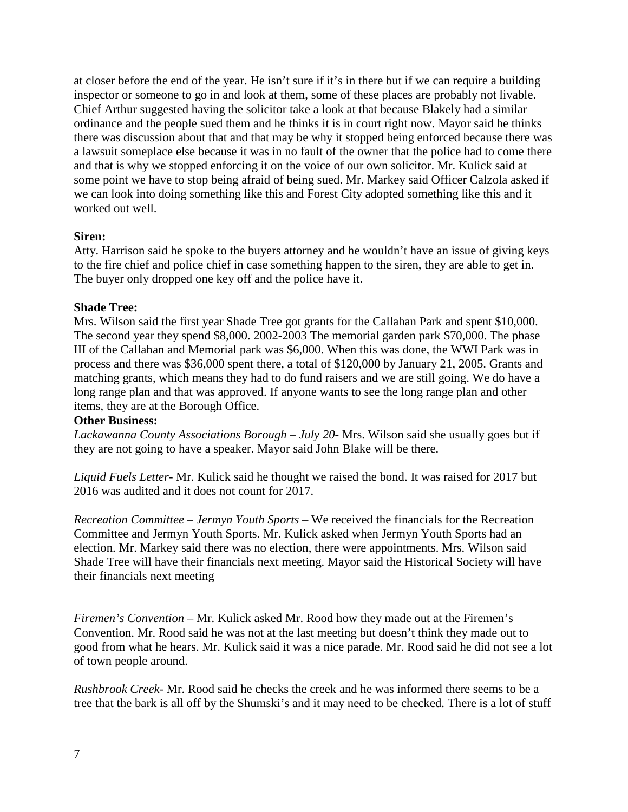at closer before the end of the year. He isn't sure if it's in there but if we can require a building inspector or someone to go in and look at them, some of these places are probably not livable. Chief Arthur suggested having the solicitor take a look at that because Blakely had a similar ordinance and the people sued them and he thinks it is in court right now. Mayor said he thinks there was discussion about that and that may be why it stopped being enforced because there was a lawsuit someplace else because it was in no fault of the owner that the police had to come there and that is why we stopped enforcing it on the voice of our own solicitor. Mr. Kulick said at some point we have to stop being afraid of being sued. Mr. Markey said Officer Calzola asked if we can look into doing something like this and Forest City adopted something like this and it worked out well.

# **Siren:**

Atty. Harrison said he spoke to the buyers attorney and he wouldn't have an issue of giving keys to the fire chief and police chief in case something happen to the siren, they are able to get in. The buyer only dropped one key off and the police have it.

## **Shade Tree:**

Mrs. Wilson said the first year Shade Tree got grants for the Callahan Park and spent \$10,000. The second year they spend \$8,000. 2002-2003 The memorial garden park \$70,000. The phase III of the Callahan and Memorial park was \$6,000. When this was done, the WWI Park was in process and there was \$36,000 spent there, a total of \$120,000 by January 21, 2005. Grants and matching grants, which means they had to do fund raisers and we are still going. We do have a long range plan and that was approved. If anyone wants to see the long range plan and other items, they are at the Borough Office.

## **Other Business:**

*Lackawanna County Associations Borough – July 20-* Mrs. Wilson said she usually goes but if they are not going to have a speaker. Mayor said John Blake will be there.

*Liquid Fuels Letter-* Mr. Kulick said he thought we raised the bond. It was raised for 2017 but 2016 was audited and it does not count for 2017.

*Recreation Committee – Jermyn Youth Sports –* We received the financials for the Recreation Committee and Jermyn Youth Sports. Mr. Kulick asked when Jermyn Youth Sports had an election. Mr. Markey said there was no election, there were appointments. Mrs. Wilson said Shade Tree will have their financials next meeting. Mayor said the Historical Society will have their financials next meeting

*Firemen's Convention –* Mr. Kulick asked Mr. Rood how they made out at the Firemen's Convention. Mr. Rood said he was not at the last meeting but doesn't think they made out to good from what he hears. Mr. Kulick said it was a nice parade. Mr. Rood said he did not see a lot of town people around.

*Rushbrook Creek-* Mr. Rood said he checks the creek and he was informed there seems to be a tree that the bark is all off by the Shumski's and it may need to be checked. There is a lot of stuff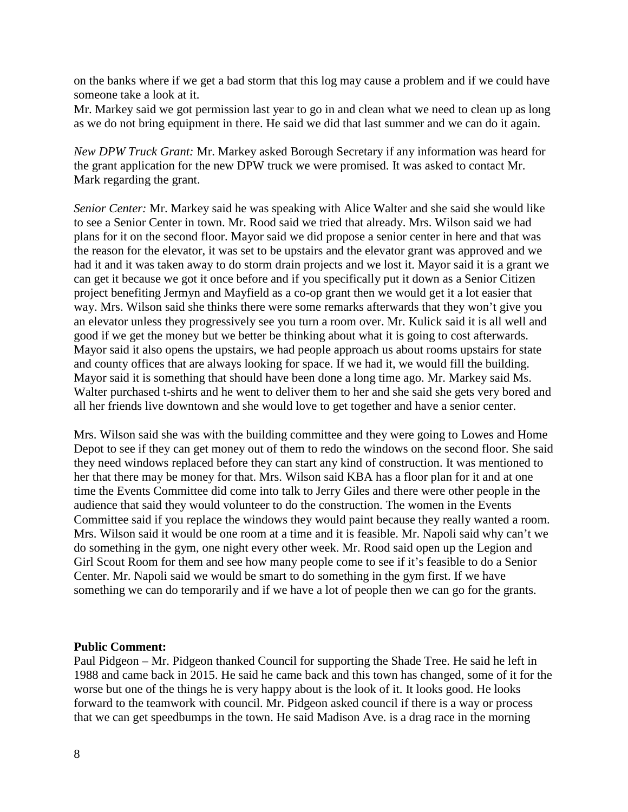on the banks where if we get a bad storm that this log may cause a problem and if we could have someone take a look at it.

Mr. Markey said we got permission last year to go in and clean what we need to clean up as long as we do not bring equipment in there. He said we did that last summer and we can do it again.

*New DPW Truck Grant:* Mr. Markey asked Borough Secretary if any information was heard for the grant application for the new DPW truck we were promised. It was asked to contact Mr. Mark regarding the grant.

*Senior Center:* Mr. Markey said he was speaking with Alice Walter and she said she would like to see a Senior Center in town. Mr. Rood said we tried that already. Mrs. Wilson said we had plans for it on the second floor. Mayor said we did propose a senior center in here and that was the reason for the elevator, it was set to be upstairs and the elevator grant was approved and we had it and it was taken away to do storm drain projects and we lost it. Mayor said it is a grant we can get it because we got it once before and if you specifically put it down as a Senior Citizen project benefiting Jermyn and Mayfield as a co-op grant then we would get it a lot easier that way. Mrs. Wilson said she thinks there were some remarks afterwards that they won't give you an elevator unless they progressively see you turn a room over. Mr. Kulick said it is all well and good if we get the money but we better be thinking about what it is going to cost afterwards. Mayor said it also opens the upstairs, we had people approach us about rooms upstairs for state and county offices that are always looking for space. If we had it, we would fill the building. Mayor said it is something that should have been done a long time ago. Mr. Markey said Ms. Walter purchased t-shirts and he went to deliver them to her and she said she gets very bored and all her friends live downtown and she would love to get together and have a senior center.

Mrs. Wilson said she was with the building committee and they were going to Lowes and Home Depot to see if they can get money out of them to redo the windows on the second floor. She said they need windows replaced before they can start any kind of construction. It was mentioned to her that there may be money for that. Mrs. Wilson said KBA has a floor plan for it and at one time the Events Committee did come into talk to Jerry Giles and there were other people in the audience that said they would volunteer to do the construction. The women in the Events Committee said if you replace the windows they would paint because they really wanted a room. Mrs. Wilson said it would be one room at a time and it is feasible. Mr. Napoli said why can't we do something in the gym, one night every other week. Mr. Rood said open up the Legion and Girl Scout Room for them and see how many people come to see if it's feasible to do a Senior Center. Mr. Napoli said we would be smart to do something in the gym first. If we have something we can do temporarily and if we have a lot of people then we can go for the grants.

## **Public Comment:**

Paul Pidgeon – Mr. Pidgeon thanked Council for supporting the Shade Tree. He said he left in 1988 and came back in 2015. He said he came back and this town has changed, some of it for the worse but one of the things he is very happy about is the look of it. It looks good. He looks forward to the teamwork with council. Mr. Pidgeon asked council if there is a way or process that we can get speedbumps in the town. He said Madison Ave. is a drag race in the morning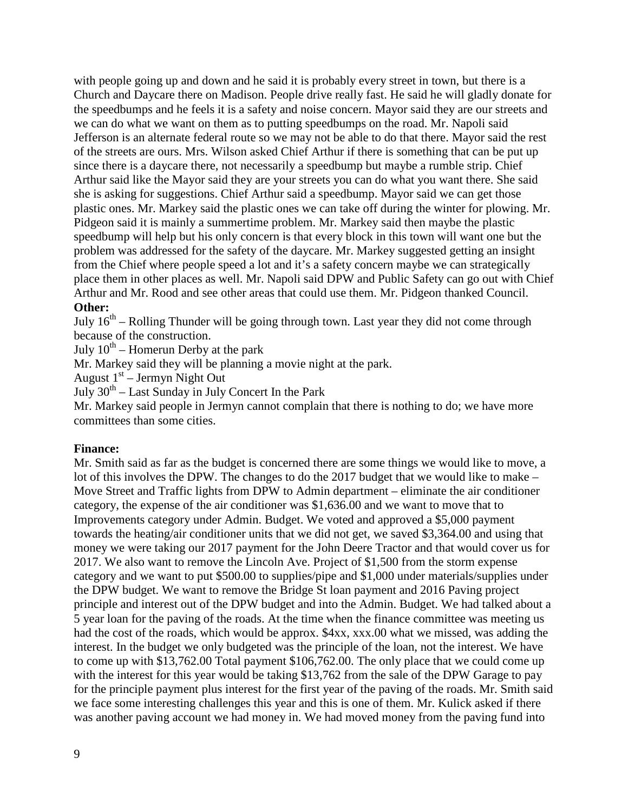with people going up and down and he said it is probably every street in town, but there is a Church and Daycare there on Madison. People drive really fast. He said he will gladly donate for the speedbumps and he feels it is a safety and noise concern. Mayor said they are our streets and we can do what we want on them as to putting speedbumps on the road. Mr. Napoli said Jefferson is an alternate federal route so we may not be able to do that there. Mayor said the rest of the streets are ours. Mrs. Wilson asked Chief Arthur if there is something that can be put up since there is a daycare there, not necessarily a speedbump but maybe a rumble strip. Chief Arthur said like the Mayor said they are your streets you can do what you want there. She said she is asking for suggestions. Chief Arthur said a speedbump. Mayor said we can get those plastic ones. Mr. Markey said the plastic ones we can take off during the winter for plowing. Mr. Pidgeon said it is mainly a summertime problem. Mr. Markey said then maybe the plastic speedbump will help but his only concern is that every block in this town will want one but the problem was addressed for the safety of the daycare. Mr. Markey suggested getting an insight from the Chief where people speed a lot and it's a safety concern maybe we can strategically place them in other places as well. Mr. Napoli said DPW and Public Safety can go out with Chief Arthur and Mr. Rood and see other areas that could use them. Mr. Pidgeon thanked Council. **Other:**

July  $16<sup>th</sup>$  – Rolling Thunder will be going through town. Last year they did not come through because of the construction.

July  $10^{th}$  – Homerun Derby at the park

Mr. Markey said they will be planning a movie night at the park.

August 1st – Jermyn Night Out

July  $30<sup>th</sup> - Last Sunday in July Concert In the Park$ 

Mr. Markey said people in Jermyn cannot complain that there is nothing to do; we have more committees than some cities.

## **Finance:**

Mr. Smith said as far as the budget is concerned there are some things we would like to move, a lot of this involves the DPW. The changes to do the 2017 budget that we would like to make – Move Street and Traffic lights from DPW to Admin department – eliminate the air conditioner category, the expense of the air conditioner was \$1,636.00 and we want to move that to Improvements category under Admin. Budget. We voted and approved a \$5,000 payment towards the heating/air conditioner units that we did not get, we saved \$3,364.00 and using that money we were taking our 2017 payment for the John Deere Tractor and that would cover us for 2017. We also want to remove the Lincoln Ave. Project of \$1,500 from the storm expense category and we want to put \$500.00 to supplies/pipe and \$1,000 under materials/supplies under the DPW budget. We want to remove the Bridge St loan payment and 2016 Paving project principle and interest out of the DPW budget and into the Admin. Budget. We had talked about a 5 year loan for the paving of the roads. At the time when the finance committee was meeting us had the cost of the roads, which would be approx. \$4xx, xxx.00 what we missed, was adding the interest. In the budget we only budgeted was the principle of the loan, not the interest. We have to come up with \$13,762.00 Total payment \$106,762.00. The only place that we could come up with the interest for this year would be taking \$13,762 from the sale of the DPW Garage to pay for the principle payment plus interest for the first year of the paving of the roads. Mr. Smith said we face some interesting challenges this year and this is one of them. Mr. Kulick asked if there was another paving account we had money in. We had moved money from the paving fund into